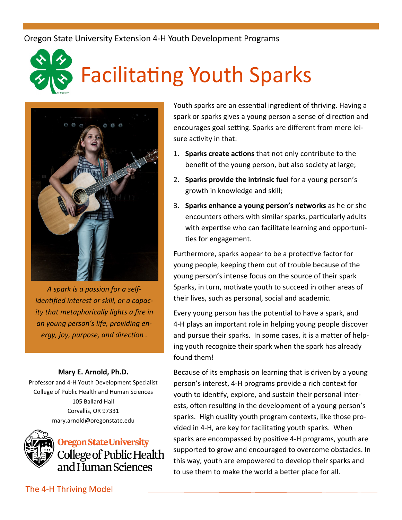Oregon State University Extension 4-H Youth Development Programs

## Facilitating Youth Sparks



*A spark is a passion for a selfidentified interest or skill, or a capacity that metaphorically lights a fire in an young person's life, providing energy, joy, purpose, and direction .*

## **Mary E. Arnold, Ph.D.**

Professor and 4-H Youth Development Specialist College of Public Health and Human Sciences 105 Ballard Hall Corvallis, OR 97331 mary.arnold@oregonstate.edu



Youth sparks are an essential ingredient of thriving. Having a spark or sparks gives a young person a sense of direction and encourages goal setting. Sparks are different from mere leisure activity in that:

- 1. **Sparks create actions** that not only contribute to the benefit of the young person, but also society at large;
- 2. **Sparks provide the intrinsic fuel** for a young person's growth in knowledge and skill;
- 3. **Sparks enhance a young person's networks** as he or she encounters others with similar sparks, particularly adults with expertise who can facilitate learning and opportunities for engagement.

Furthermore, sparks appear to be a protective factor for young people, keeping them out of trouble because of the young person's intense focus on the source of their spark Sparks, in turn, motivate youth to succeed in other areas of their lives, such as personal, social and academic.

Every young person has the potential to have a spark, and 4-H plays an important role in helping young people discover and pursue their sparks. In some cases, it is a matter of helping youth recognize their spark when the spark has already found them!

Because of its emphasis on learning that is driven by a young person's interest, 4-H programs provide a rich context for youth to identify, explore, and sustain their personal interests, often resulting in the development of a young person's sparks. High quality youth program contexts, like those provided in 4-H, are key for facilitating youth sparks. When sparks are encompassed by positive 4-H programs, youth are supported to grow and encouraged to overcome obstacles. In this way, youth are empowered to develop their sparks and to use them to make the world a better place for all.

The 4-H Thriving Model